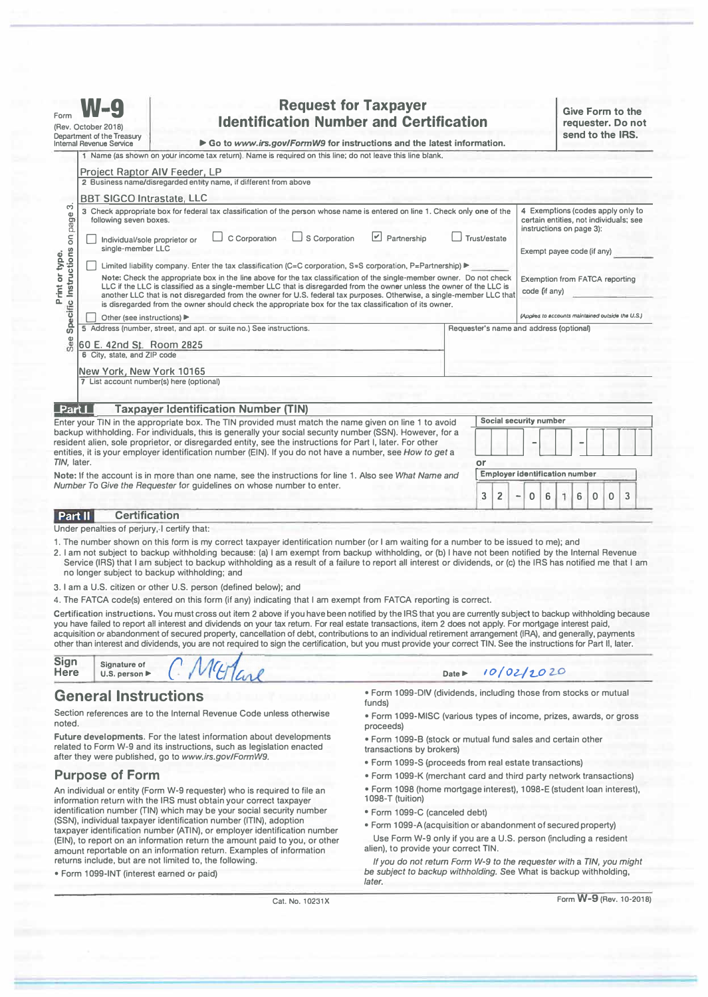| S<br>Specific Instructions on page<br>or type.<br>Print<br>See<br>PartI | <b>Request for Taxpayer</b><br>Form<br><b>Identification Number and Certification</b><br>(Rev. October 2018)<br>Department of the Treasury<br>Go to www.irs.gov/FormW9 for instructions and the latest information.<br>Internal Revenue Service |                                                                                                    |                                                                                                                      |                                                                                                           |                                                                                                                                                                                                                                                                                                                                                                                                                                                                                                                                                                                                                                                                                                                                                                                                                                                              |                                         |                     |   | send to the IRS.                                                         | <b>Give Form to the</b><br>requester. Do not                            |    |   |                                                   |                                                                             |
|-------------------------------------------------------------------------|-------------------------------------------------------------------------------------------------------------------------------------------------------------------------------------------------------------------------------------------------|----------------------------------------------------------------------------------------------------|----------------------------------------------------------------------------------------------------------------------|-----------------------------------------------------------------------------------------------------------|--------------------------------------------------------------------------------------------------------------------------------------------------------------------------------------------------------------------------------------------------------------------------------------------------------------------------------------------------------------------------------------------------------------------------------------------------------------------------------------------------------------------------------------------------------------------------------------------------------------------------------------------------------------------------------------------------------------------------------------------------------------------------------------------------------------------------------------------------------------|-----------------------------------------|---------------------|---|--------------------------------------------------------------------------|-------------------------------------------------------------------------|----|---|---------------------------------------------------|-----------------------------------------------------------------------------|
|                                                                         | following seven boxes.<br>single-member LLC                                                                                                                                                                                                     | Project Raptor AIV Feeder, LP<br><b>BBT SIGCO Intrastate, LLC</b><br>Individual/sole proprietor or | 2 Business name/disregarded entity name, if different from above<br>C Corporation                                    | S Corporation                                                                                             | 1 Name (as shown on your income tax return). Name is required on this line; do not leave this line blank.<br>3 Check appropriate box for federal tax classification of the person whose name is entered on line 1. Check only one of the<br>Partnership<br>Limited liability company. Enter the tax classification (C=C corporation, S≡S corporation, P=Partnership) ▶<br>Note: Check the appropriate box in the line above for the tax classification of the single-member owner. Do not check<br>LLC if the LLC is classified as a single-member LLC that is disregarded from the owner unless the owner of the LLC is<br>another LLC that is not disregarded from the owner for U.S. federal tax purposes. Otherwise, a single-member LLC that<br>is disregarded from the owner should check the appropriate box for the tax classification of its owner. |                                         | <b>Trust/estate</b> |   |                                                                          | instructions on page 3):<br>Exempt payee code (if any)<br>code (if any) |    |   | <b>Exemption from FATCA reporting</b>             | 4 Exemptions (codes apply only to<br>certain entities, not individuals; see |
|                                                                         | Other (see instructions) ▶<br>6 City, state, and ZIP code                                                                                                                                                                                       | 60 E. 42nd St. Room 2825<br>New York, New York 10165<br>7 List account number(s) here (optional)   | 5 Address (number, street, and apt. or suite no.) See instructions.                                                  |                                                                                                           |                                                                                                                                                                                                                                                                                                                                                                                                                                                                                                                                                                                                                                                                                                                                                                                                                                                              | Requester's name and address (optional) |                     |   |                                                                          |                                                                         |    |   | (Applies to accounts maintained outside the U.S.) |                                                                             |
| TIN, later.<br>Part II                                                  | <b>Certification</b>                                                                                                                                                                                                                            |                                                                                                    | <b>Taxpayer Identification Number (TIN)</b><br>Number To Give the Requester for quidelines on whose number to enter. | resident alien, sole proprietor, or disregarded entity, see the instructions for Part I, later. For other | Enter your TIN in the appropriate box. The TIN provided must match the name given on line 1 to avoid<br>backup withholding. For individuals, this is generally your social secunty number (SSN). However, for a<br>entities, it is your employer identification number (EIN). If you do not have a number, see How to get a<br>Note: If the account is in more than one name, see the instructions for line 1, Also see What Name and                                                                                                                                                                                                                                                                                                                                                                                                                        |                                         | or<br>3             | 2 | Social security number<br>Employer identification number<br>$\mathbf{0}$ | 6                                                                       | 1. | 6 | $\Omega$<br>$\mathbf{0}$                          | 3                                                                           |

Under penalties of perjury, I certify that:

- 1. The number shown on this form is my correct taxpayer identification number (or I am waiting for a number to be issued to me); and
- 2. I am not subject to backup withholding because: (a) I am exempt from backup withholding, or (b) I have not been notified by the Internal Revenue Service (IRS) that I am subject to backup withholding as a result of a failure to report all interest or dividends, or (c) the IRS has notified me that I am no longer subject to backup withholding; and
- 3. I am a U.S. citizen or other U.S. person (defined below); and
- 4. The FATCA code(s) entered on this form (if any) indicating that I am exempt from FATCA reporting is correct.

Certification instructions. You must cross out item 2 above if you have been notified by the IRS that you are currently subject to backup withholding because you have failed to report all interest and dividends on your tax return. For real estate transactions, item 2 does not apply. For mortgage interest paid, acquisition or abandonment of secured property, cancellation of debt, contributions to an individual retirement arrangement (IRA), and generally, payments other than interest and dividends, you are not required to sign the certification, but you must provide your correct TIN. See the instructions for Part II, later.

| <b>Sign</b><br>Here | Signature of<br>$U.S.$ person $\blacktriangleright$ |  | MU |
|---------------------|-----------------------------------------------------|--|----|
|---------------------|-----------------------------------------------------|--|----|

# **General Instructions**

Section references are to the Internal Revenue Code unless otherwise noted.

**Future developments.** For the latest information about developments related to Form W-9 and its instructions, such as legislation enacted after they were published, go to *www.irs.gov/FormW9.*

# **Purpose of Form**

An individual or entity (Form W-9 requester) who is required to file an information return with the IRS must obtain your correct taxpayer identification number (TIN) which may be your social security number (SSN), individual taxpayer identification number (ITIN), adoption taxpayer identification number (ATIN), or employer identification number (EIN), to report on an information return the amount paid to you, or other amount reportable on an information return. Examples of information returns include, but are not limited to, the following.

• Form 1099-INT (interest earned or paid)

- Form 1099-DIV (dividends, including those from stocks or mutual funds)
- Form 1099-MISC (various types of income, prizes, awards, or gross proceeds)

**Date** ► */{) I Ol-/t..O z..o*

- Form 1099-8 (stock or mutual fund sales and certain other transactions by brokers)
- Form 1099-S (proceeds from real estate transactions)
- Form 1099-K (merchant card and third party network transactions)

• Form 1098 (home mortgage interest), 1098-E (student loan interest), 1098-T (tuition)

- Form 1099-C (canceled debt)
- Form 1099-A (acquisition or abandonment of secured property)

Use Form W-9 only if you are a U.S. person (including a resident alien), to provide your correct TIN.

*ff you do not return Form W-9 to the requester with* a *TIN, you might be subject to backup withholding.* See What is backup withholding, *later.* 

Cat. No. 10231X

Form W-9 (Rev. 10-2018)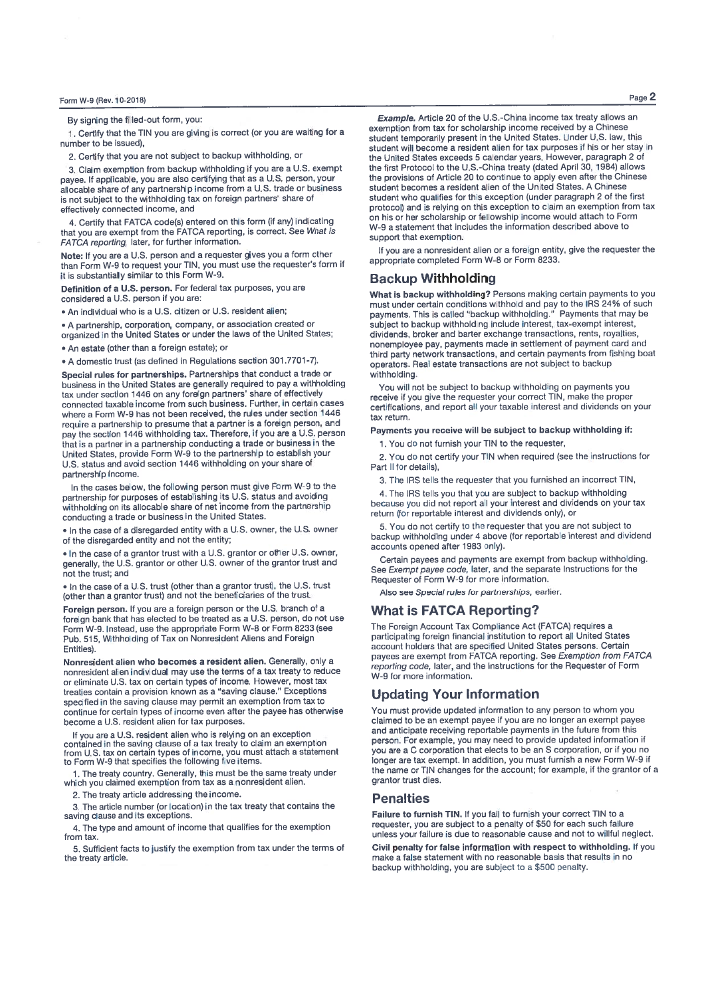By signing the filled-out form, you:

1. Certify that the TIN you are giving is correct (or you are waiting for a number to be issued).

2. Certify that you are not subject to backup withholding, or

3. Claim exemption from backup withholding if you are a U.S. exempt payee. If applicable, you are also certifying that as a U.S. person, your allocable share of any partnership income from a U.S. trade or business is not subject to the withholding tax on foreign partners' share of effectively connected income, and

4. Certify that FATCA code(s) entered on this form (if any) indicating that you are exempt from the FATCA reporting, is correct. See What is FATCA reporting, later, for further information.

Note: If you are a U.S. person and a requester gives you a form other than Form W-9 to request your TIN, you must use the requester's form if it is substantially similar to this Form W-9.

Definition of a U.S. person. For federal tax purposes, you are considered a U.S. person if you are:

. An individual who is a U.S. citizen or U.S. resident alien:

. A partnership, corporation, company, or association created or organized in the United States or under the laws of the United States;

. An estate (other than a foreign estate); or

• A domestic trust (as defined in Regulations section 301.7701-7).

Special rules for partnerships. Partnerships that conduct a trade or business in the United States are generally required to pay a withholding tax under section 1446 on any foreign partners' share of effectively connected taxable income from such business. Further, in certain cases where a Form W-9 has not been received, the rules under section 1446 require a partnership to presume that a partner is a foreign person, and pay the section 1446 withholding tax. Therefore, if you are a U.S. person that is a partner in a partnership conducting a trade or business in the United States, provide Form W-9 to the partnership to establish your U.S. status and avoid section 1446 withholding on your share of partnership income.

In the cases below, the following person must give Form W-9 to the partnership for purposes of establishing its U.S. status and avoiding withholding on its allocable share of net income from the partnership conducting a trade or business in the United States.

. In the case of a disregarded entity with a U.S. owner, the U.S. owner of the disregarded entity and not the entity;

. In the case of a grantor trust with a U.S. grantor or other U.S. owner, generally, the U.S. grantor or other U.S. owner of the grantor trust and not the trust; and

. In the case of a U.S. trust (other than a grantor trust), the U.S. trust (other than a grantor trust) and not the beneficiaries of the trust.

Foreign person. If you are a foreign person or the U.S. branch of a foreign bank that has elected to be treated as a U.S. person, do not use Form W-9, Instead, use the appropriate Form W-8 or Form 8233 (see Pub. 515, Withholding of Tax on Nonresident Aliens and Foreign Entities).

Nonresident alien who becomes a resident alien. Generally, only a nonresident alien individual may use the terms of a tax treaty to reduce or eliminate U.S. tax on certain types of income. However, most tax treaties contain a provision known as a "saving clause." Exceptions specified in the saving clause may permit an exemption from tax to continue for certain types of income even after the payee has otherwise become a U.S. resident alien for tax purposes.

If you are a U.S. resident alien who is relying on an exception contained in the saving clause of a tax treaty to claim an exemption from U.S. tax on certain types of income, you must attach a statement<br>to Form W-9 that specifies the following five items.

1. The treaty country. Generally, this must be the same treaty under which you claimed exemption from tax as a nonresident alien.

2. The treaty article addressing the income.

3. The article number (or location) in the tax treaty that contains the saving clause and its exceptions.

4. The type and amount of income that qualifies for the exemption from tax.

5. Sufficient facts to justify the exemption from tax under the terms of the treaty article.

Example. Article 20 of the U.S.-China income tax treaty allows an exemption from tax for scholarship income received by a Chinese student temporarily present in the United States. Under U.S. law, this student will become a resident alien for tax purposes if his or her stay in the United States exceeds 5 calendar years. However, paragraph 2 of the first Protocol to the U.S.-China treaty (dated April 30, 1984) allows the provisions of Article 20 to continue to apply even after the Chinese student becomes a resident alien of the United States. A Chinese student who qualifies for this exception (under paragraph 2 of the first protocol) and is relying on this exception to claim an exemption from tax on his or her scholarship or fellowship income would attach to Form W-9 a statement that includes the information described above to support that exemption.

If you are a nonresident alien or a foreign entity, give the requester the appropriate completed Form W-8 or Form 8233.

# **Backup Withholding**

What is backup withholding? Persons making certain payments to you The transfer certain conditions withhold and pay to the IRS 24% of such payments. This is called "backup withholding." Payments that may be subject to backup withholding include interest, tax-exempt interest, dividends, broker and barter exchange transactions, rents, royalties, nonemployee pay, payments made in settlement of payment card and third party network transactions, and certain payments from fishing boat operators. Real estate transactions are not subject to backup withholding

You will not be subject to backup withholding on payments you receive if you give the requester your correct TIN, make the proper certifications, and report all your taxable interest and dividends on your tax return.

Payments you receive will be subject to backup withholding if:

1. You do not furnish your TIN to the requester,

2. You do not certify your TIN when required (see the instructions for Part II for details).

3. The IRS tells the requester that you furnished an incorrect TIN,

4. The IRS tells you that you are subject to backup withholding because you did not report all your interest and dividends on your tax return (for reportable interest and dividends only), or

5. You do not certify to the requester that you are not subject to backup withholding under 4 above (for reportable interest and dividend accounts opened after 1983 only).

Certain payees and payments are exempt from backup withholding. See Exempt payee code, later, and the separate Instructions for the Requester of Form W-9 for more information.

Also see Special rules for partnerships, earlier.

## **What is FATCA Reporting?**

The Foreign Account Tax Compliance Act (FATCA) requires a participating foreign financial institution to report all United States account holders that are specified United States persons. Certain payees are exempt from FATCA reporting. See Exemption from FATCA reporting code, later, and the Instructions for the Requester of Form W-9 for more information.

# **Updating Your Information**

You must provide updated information to any person to whom you claimed to be an exempt payee if you are no longer an exempt payee and anticipate receiving reportable payments in the future from this person. For example, you may need to provide updated information if you are a C corporation that elects to be an S corporation, or if you no longer are tax exempt. In addition, you must furnish a new Form W-9 if the name or TIN changes for the account; for example, if the grantor of a grantor trust dies.

## **Penalties**

Failure to furnish TIN. If you fail to furnish your correct TIN to a requester, you are subject to a penalty of \$50 for each such failure unless your failure is due to reasonable cause and not to willful neglect.

Civil penalty for false information with respect to withholding. If you make a false statement with no reasonable basis that results in no backup withholding, you are subject to a \$500 penalty.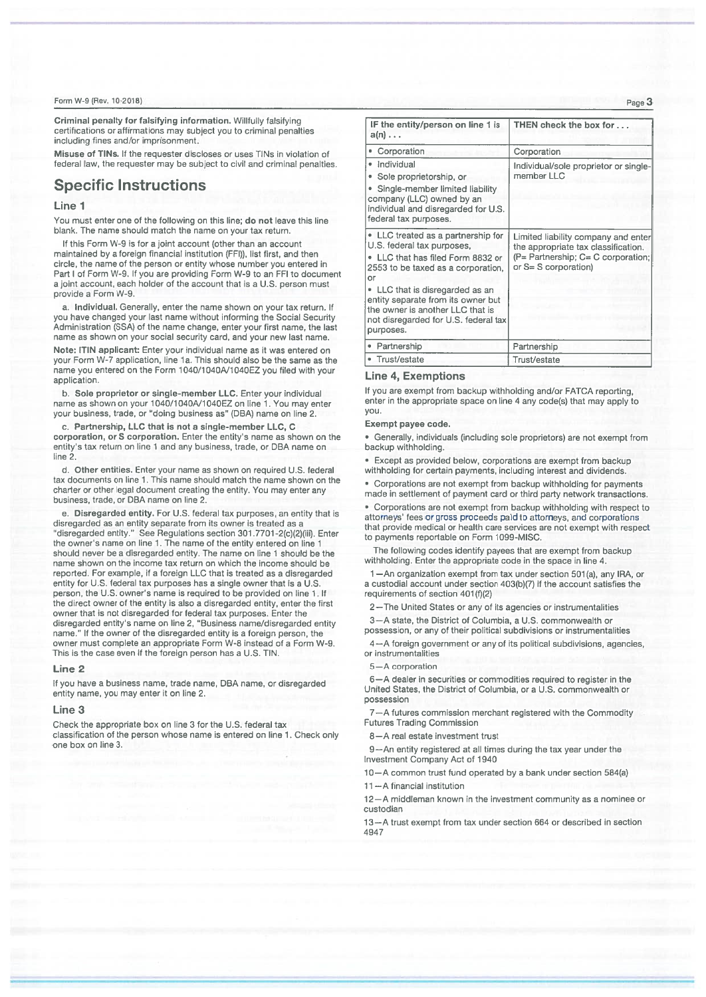Criminal penalty for falsifying information. Willfully falsifying certifications or affirmations may subject you to criminal penalties including fines and/or imprisonment.

Misuse of TINs. If the requester discloses or uses TINs in violation of federal law, the requester may be subject to civil and criminal penalties.

# **Specific Instructions**

#### Line 1

You must enter one of the following on this line; do not leave this line blank. The name should match the name on your tax return

If this Form W-9 is for a joint account (other than an account maintained by a foreign financial institution (FFI)), list first, and then circle, the name of the person or entity whose number you entered in Part I of Form W-9. If you are providing Form W-9 to an FFI to document a joint account, each holder of the account that is a U.S. person must provide a Form W-9.

a. Individual. Generally, enter the name shown on your tax return. If you have changed your last name without informing the Social Security Administration (SSA) of the name change, enter your first name, the last name as shown on your social security card, and your new last name.

Note: ITIN applicant: Enter your individual name as it was entered on Nour Form W-7 application, line 1a. This should also be the same as the name you entered on the Form 1040/1040A/1040EZ you filed with your application.

b. Sole proprietor or single-member LLC. Enter your individual name as shown on your 1040/1040A/1040EZ on line 1. You may enter your business, trade, or "doing business as" (DBA) name on line 2.

c. Partnership, LLC that is not a single-member LLC. C corporation, or S corporation. Enter the entity's name as shown on the entity's tax return on line 1 and any business, trade, or DBA name on line 2.

d. Other entities. Enter your name as shown on required U.S. federal tax documents on line 1. This name should match the name shown on the charter or other legal document creating the entity. You may enter any business, trade, or DBA name on line 2.

e. Disregarded entity. For U.S. federal tax purposes, an entity that is disregarded as an entity separate from its owner is treated as a "disregarded entity." See Regulations section 301.7701-2(c)(2)(iii). Enter the owner's name on line 1. The name of the entity entered on line 1 should never be a disregarded entity. The name on line 1 should be the name shown on the income tax return on which the income should be reported. For example, if a foreign LLC that is treated as a disregarded entity for U.S. federal tax purposes has a single owner that is a U.S. person, the U.S. owner's name is required to be provided on line 1. If the direct owner of the entity is also a disregarded entity, enter the first owner that is not disregarded for federal tax purposes. Enter the disregarded entity's name on line 2, "Business name/disregarded entity name." If the owner of the disregarded entity is a foreign person, the owner must complete an appropriate Form W-8 instead of a Form W-9. This is the case even if the foreign person has a U.S. TIN.

#### Line<sub>2</sub>

If you have a business name, trade name, DBA name, or disregarded entity name, you may enter it on line 2.

Check the appropriate box on line 3 for the U.S. federal tax classification of the person whose name is entered on line 1. Check only one box on line 3.

IF the entity/person on line 1 is THEN check the box for ...  $a(n) \ldots$ • Corporation Corporation · Individual Individual/sole proprietor or singlemember LLC Sole proprietorship, or · Single-member limited liability company (LLC) owned by an individual and disregarded for U.S. federal tax purposes. · LLC treated as a partnership for Limited liability company and enter U.S. federal tax purposes, the appropriate tax classification. . LLC that has filed Form 8832 or  $(P =$  Partnership;  $C = C$  corporation; 2553 to be taxed as a corporation, or S= S corporation) or • LLC that is disregarded as an entity separate from its owner but the owner is another LLC that is not disregarded for U.S. federal tax purposes. Partnership Partnership Trust/estate Trust/estate

## **Line 4, Exemptions**

If you are exempt from backup withholding and/or FATCA reporting, enter in the appropriate space on line 4 any code(s) that may apply to vou.

#### Exempt payee code.

• Generally, individuals (including sole proprietors) are not exempt from backup withholding.

· Except as provided below, corporations are exempt from backup withholding for certain payments, including interest and dividends

• Corporations are not exempt from backup withholding for payments made in settlement of payment card or third party network transactions.

• Corporations are not exempt from backup withholding with respect to attorneys' fees or gross proceeds paid to attorneys, and corporations that provide medical or health care services are not exempt with respect to payments reportable on Form 1099-MISC.

The following codes identify payees that are exempt from backup withholding. Enter the appropriate code in the space in line 4.

1-An organization exempt from tax under section 501(a), any IRA, or a custodial account under section 403(b)(7) if the account satisfies the requirements of section 401(f)(2)

2-The United States or any of its agencies or instrumentalities

3-A state, the District of Columbia, a U.S. commonwealth or possession, or any of their political subdivisions or instrumentalities

4-A foreign government or any of its political subdivisions, agencies, or instrumentalities

#### 5-A corporation

6-A dealer in securities or commodities required to register in the United States, the District of Columbia, or a U.S. commonwealth or possession

7-A futures commission merchant registered with the Commodity **Futures Trading Commission** 

8-A real estate investment trust

9-An entity registered at all times during the tax year under the Investment Company Act of 1940

10-A common trust fund operated by a bank under section 584(a) 11-A financial institution

12-A middleman known in the investment community as a nominee or custodian

13-A trust exempt from tax under section 664 or described in section 4947

Page 3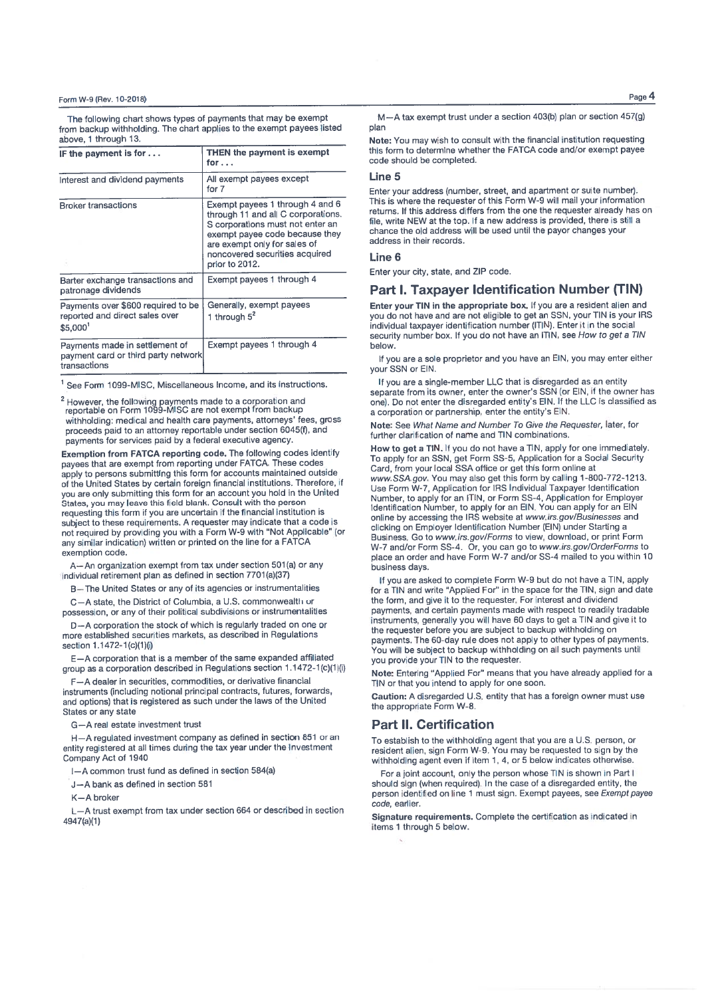The following chart shows types of payments that may be exempt from backup withholding. The chart applies to the exempt payees listed above, 1 through 13.

| IF the payment is for $\dots$                                                                | THEN the payment is exempt<br>for $\dots$                                                                                                                                                                                       |  |  |
|----------------------------------------------------------------------------------------------|---------------------------------------------------------------------------------------------------------------------------------------------------------------------------------------------------------------------------------|--|--|
| Interest and dividend payments                                                               | All exempt payees except<br>for 7                                                                                                                                                                                               |  |  |
| <b>Broker transactions</b>                                                                   | Exempt payees 1 through 4 and 6<br>through 11 and all C corporations.<br>S corporations must not enter an<br>exempt payee code because they<br>are exempt only for sales of<br>noncovered securities acquired<br>prior to 2012. |  |  |
| Barter exchange transactions and<br>patronage dividends                                      | Exempt payees 1 through 4                                                                                                                                                                                                       |  |  |
| Payments over \$600 required to be<br>reported and direct sales over<br>\$5.000 <sup>1</sup> | Generally, exempt payees<br>1 through $5^2$                                                                                                                                                                                     |  |  |
| Payments made in settlement of<br>payment card or third party network<br>transactions        | Exempt payees 1 through 4                                                                                                                                                                                                       |  |  |

<sup>1</sup> See Form 1099-MISC, Miscellaneous Income, and its instructions.

<sup>2</sup> However, the following payments made to a corporation and<br>reportable on Form 1099-MISC are not exempt from backup withholding: medical and health care payments, attorneys' fees, gross proceeds paid to an attorney reportable under section 6045(f), and payments for services paid by a federal executive agency.

Exemption from FATCA reporting code. The following codes identify payees that are exempt from reporting under FATCA. These codes apply to persons submitting this form for accounts maintained outside of the United States by certain foreign financial institutions. Therefore, if you are only submitting this form for an account you hold in the United States, you may leave this field blank. Consult with the person requesting this form if you are uncertain if the financial institution is subject to these requirements. A requester may indicate that a code is adique to incorrect control of the providing you with a Form W-9 with "Not Applicable" (or<br>any similar indication) written or printed on the line for a FATCA exemption code.

A-An organization exempt from tax under section 501(a) or any individual retirement plan as defined in section 7701(a)(37)

B-The United States or any of its agencies or instrumentalities

C-A state, the District of Columbia, a U.S. commonwealth or possession, or any of their political subdivisions or instrumentalities

D-A corporation the stock of which is regularly traded on one or more established securities markets, as described in Regulations section 1.1472-1(c)(1)(i)

E-A corporation that is a member of the same expanded affiliated group as a corporation described in Regulations section 1.1472-1(c)(1)(i)

F-A dealer in securities, commodities, or derivative financial instruments (including notional principal contracts, futures, forwards, and options) that is registered as such under the laws of the United States or any state

G-A real estate investment trust

H-A regulated investment company as defined in section 851 or an entity registered at all times during the tax year under the Investment Company Act of 1940

I-A common trust fund as defined in section 584(a)

J-A bank as defined in section 581

K-A broker

L-A trust exempt from tax under section 664 or described in section  $4947(a)(1)$ 

Page 4

M-A tax exempt trust under a section 403(b) plan or section 457(g) plan

Note: You may wish to consult with the financial institution requesting this form to determine whether the FATCA code and/or exempt payee code should be completed.

## Line<sub>5</sub>

Enter your address (number, street, and apartment or suite number). This is where the requester of this Form W-9 will mail your information returns. If this address differs from the one the requester already has on file, write NEW at the top. If a new address is provided, there is still a chance the old address will be used until the payor changes your address in their records.

# Line 6

Enter your city, state, and ZIP code.

# Part I. Taxpayer Identification Number (TIN)

Enter your TIN in the appropriate box. If you are a resident alien and you do not have and are not eligible to get an SSN, your TIN is your IRS individual taxpayer identification number (ITIN). Enter it in the social security number box. If you do not have an ITIN, see How to get a TIN below

If you are a sole proprietor and you have an EIN, you may enter either your SSN or EIN.

If you are a single-member LLC that is disregarded as an entity separate from its owner, enter the owner's SSN (or EIN, if the owner has one). Do not enter the disregarded entity's EIN. If the LLC is classified as a corporation or partnership, enter the entity's EIN.

Note: See What Name and Number To Give the Requester, later, for further clarification of name and TIN combinations.

How to get a TIN. If you do not have a TIN, apply for one immediately. To apply for an SSN, get Form SS-5, Application for a Social Security Card, from your local SSA office or get this form online at www.SSA.gov. You may also get this form by calling 1-800-772-1213. Use Form W-7, Application for IRS Individual Taxpayer Identification Number, to apply for an ITIN, or Form SS-4, Application for Employer<br>Identification Number, to apply for an EIN. You can apply for an EIN online by accessing the IRS website at www.irs.gov/Businesses and clicking on Employer Identification Number (EIN) under Starting a Business. Go to www.irs.gov/Forms to view, download, or print Form W-7 and/or Form SS-4. Or, you can go to www.irs.gov/OrderForms to place an order and have Form W-7 and/or SS-4 mailed to you within 10 business days.

If you are asked to complete Form W-9 but do not have a TIN, apply<br>for a TIN and write "Applied For" in the space for the TIN, sign and date the form, and give it to the requester. For interest and dividend payments, and certain payments made with respect to readily tradable instruments, generally you will have 60 days to get a TIN and give it to the requester before you are subject to backup withholding on payments. The 60-day rule does not apply to other types of payments. You will be subject to backup withholding on all such payments until you provide your TIN to the requester.

Note: Entering "Applied For" means that you have already applied for a TIN or that you intend to apply for one soon.

Caution: A disregarded U.S. entity that has a foreign owner must use the appropriate Form W-8.

# **Part II. Certification**

To establish to the withholding agent that you are a U.S. person, or resident alien, sign Form W-9. You may be requested to sign by the withholding agent even if item 1, 4, or 5 below indicates otherwise.

For a joint account, only the person whose TIN is shown in Part I should sign (when required). In the case of a disregarded entity, the person identified on line 1 must sign. Exempt payees, see Exempt payee code, earlier

Signature requirements. Complete the certification as indicated in items 1 through 5 below.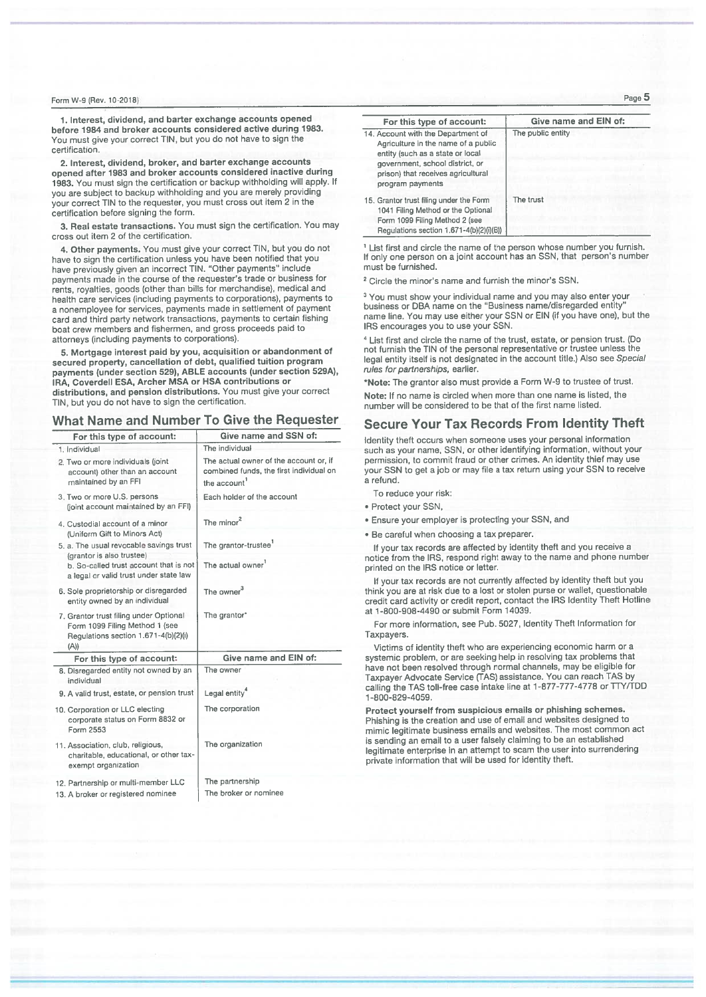1. Interest, dividend, and barter exchange accounts opened before 1984 and broker accounts considered active during 1983. You must give your correct TIN, but you do not have to sign the certification.

2. Interest, dividend, broker, and barter exchange accounts opened after 1983 and broker accounts considered inactive during 1983. You must sign the certification or backup withholding will apply. If vou are subject to backup withholding and you are merely providing your correct TIN to the requester, you must cross out item 2 in the certification before signing the form.

3. Real estate transactions. You must sign the certification. You may cross out item 2 of the certification.

4. Other payments. You must give your correct TIN, but you do not have to sign the certification unless you have been notified that you have previously given an incorrect TIN. "Other payments" include payments made in the course of the requester's trade or business for rents, royalties, goods (other than bills for merchandise), medical and health care services (including payments to corporations), payments to a nonemployee for services, payments made in settlement of payment card and third party network transactions, payments to certain fishing boat crew members and fishermen, and gross proceeds paid to attorneys (including payments to corporations).

5. Mortgage interest paid by you, acquisition or abandonment of secured property, cancellation of debt, qualified tuition program payments (under section 529), ABLE accounts (under section 529A), IRA, Coverdell ESA, Archer MSA or HSA contributions or distributions, and pension distributions. You must give your correct TIN, but you do not have to sign the certification.

# What Name and Number To Give the Requester

| For this type of account:                                                                                                | Give name and SSN of:                                                                                         |
|--------------------------------------------------------------------------------------------------------------------------|---------------------------------------------------------------------------------------------------------------|
| 1. Individual                                                                                                            | The individual                                                                                                |
| 2. Two or more individuals (joint<br>account) other than an account<br>maintained by an FFI                              | The actual owner of the account or, if<br>combined funds, the first individual on<br>the account <sup>1</sup> |
| 3. Two or more U.S. persons<br>(joint account maintained by an FFI)                                                      | Each holder of the account                                                                                    |
| 4. Custodial account of a minor<br>(Uniform Gift to Minors Act)                                                          | The minor <sup>2</sup>                                                                                        |
| 5. a. The usual revocable savings trust                                                                                  | The grantor-trustee <sup>1</sup>                                                                              |
| (grantor is also trustee)<br>b. So-called trust account that is not<br>a legal or valid trust under state law            | The actual owner                                                                                              |
| 6. Sole proprietorship or disregarded<br>entity owned by an individual                                                   | The owner <sup>3</sup>                                                                                        |
| 7. Grantor trust filing under Optional<br>Form 1099 Filing Method 1 (see<br>Regulations section 1.671-4(b)(2)(i)<br>(A)) | The grantor*                                                                                                  |
| For this type of account:                                                                                                | Give name and EIN of:                                                                                         |
| 8. Disregarded entity not owned by an<br>individual                                                                      | The owner                                                                                                     |
| 9. A valid trust, estate, or pension trust                                                                               | Legal entity <sup>4</sup>                                                                                     |
| 10. Corporation or LLC electing<br>corporate status on Form 8832 or<br>Form 2553                                         | The corporation                                                                                               |
| 11. Association, club, religious,<br>charitable, educational, or other tax-<br>exempt organization                       | The organization                                                                                              |
| 12. Partnership or multi-member LLC<br>13. A broker or registered nominee                                                | The partnership<br>The broker or nominee                                                                      |

Give name and EIN of: For this type of account: The public entity 14. Account with the Department of Agriculture in the name of a public entity (such as a state or local government, school district, or prison) that receives agricultural program payments 15. Grantor trust filing under the Form The trust 1041 Filing Method or the Optional Form 1099 Filing Method 2 (see Regulations section 1.671-4(b)(2)(i)(B))

<sup>1</sup> List first and circle the name of the person whose number you furnish.<br>If only one person on a joint account has an SSN, that person's number must be furnished.

<sup>2</sup> Circle the minor's name and furnish the minor's SSN.

<sup>3</sup> You must show your individual name and you may also enter your<br>business or DBA name on the "Business name/disregarded entity" name line. You may use either your SSN or EIN (if you have one), but the IRS encourages you to use your SSN.

<sup>4</sup> List first and circle the name of the trust, estate, or pension trust. (Do not furnish the TIN of the personal representative or trustee unless the legal entity itself is not designated in the account title.) Also see Special rules for partnerships, earlier.

\*Note: The grantor also must provide a Form W-9 to trustee of trust.

Note: If no name is circled when more than one name is listed, the number will be considered to be that of the first name listed.

# Secure Your Tax Records From Identity Theft

Identity theft occurs when someone uses your personal information<br>such as your name, SSN, or other identifying information, without your permission, to commit fraud or other crimes. An identity thief may use your SSN to get a job or may file a tax return using your SSN to receive a refund.

To reduce your risk:

· Protect your SSN,

- . Ensure your employer is protecting your SSN, and
- · Be careful when choosing a tax preparer.

If your tax records are affected by identity theft and you receive a notice from the IRS, respond right away to the name and phone number printed on the IRS notice or letter.

If your tax records are not currently affected by identity theft but you think you are at risk due to a lost or stolen purse or wallet, questionable credit card activity or credit report, contact the IRS Identity Theft Hotline at 1-800-908-4490 or submit Form 14039.

For more information, see Pub. 5027, Identity Theft Information for Taxpayers.

Victims of identity theft who are experiencing economic harm or a systemic problem, or are seeking help in resolving tax problems that have not been resolved through normal channels, may be eligible for Taxpayer Advocate Service (TAS) assistance. You can reach TAS by calling the TAS toll-free case intake line at 1-877-777-4778 or TTY/TDD 1-800-829-4059

Protect yourself from suspicious emails or phishing schemes. Phishing is the creation and use of email and websites designed to mimic legitimate business emails and websites. The most common act is sending an email to a user falsely claiming to be an established legitimate enterprise in an attempt to scam the user into surrendering private information that will be used for identity theft.

Page 5